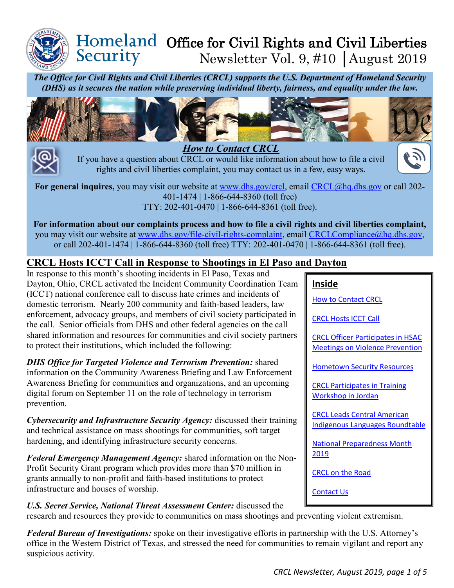

#### Homeland Office for Civil Rights and Civil Liberties Security Newsletter Vol. 9, #10 │August 2019

*The Office for Civil Rights and Civil Liberties (CRCL) supports the U.S. Department of Homeland Security (DHS) as it secures the nation while preserving individual liberty, fairness, and equality under the law.*





<span id="page-0-0"></span>If you have a question about CRCL or would like information about how to file a civil rights and civil liberties complaint, you may contact us in a few, easy ways.

**For general inquires,** you may visit our website at [www.dhs.gov/crcl,](http://www.dhs.gov/crcl) email [CRCL@hq.dhs.gov](mailto:CRCL@hq.dhs.gov) or call 202- 401-1474 | 1-866-644-8360 (toll free) TTY: 202-401-0470 | 1-866-644-8361 (toll free).

**For information about our complaints process and how to file a civil rights and civil liberties complaint,** you may visit our website at [www.dhs.gov/file-civil-rights-complaint,](http://www.dhs.gov/file-civil-rights-complaint) email [CRCLCompliance@hq.dhs.gov,](mailto:CRCLCompliance@hq.dhs.gov) or call 202-401-1474 | 1-866-644-8360 (toll free) TTY: 202-401-0470 | 1-866-644-8361 (toll free).

# <span id="page-0-1"></span>**CRCL Hosts ICCT Call in Response to Shootings in El Paso and Dayton**

In response to this month's shooting incidents in El Paso, Texas and Dayton, Ohio, CRCL activated the Incident Community Coordination Team (ICCT) national conference call to discuss hate crimes and incidents of domestic terrorism. Nearly 200 community and faith-based leaders, law enforcement, advocacy groups, and members of civil society participated in the call. Senior officials from DHS and other federal agencies on the call shared information and resources for communities and civil society partners to protect their institutions, which included the following:

*DHS Office for Targeted Violence and Terrorism Prevention:* shared information on the Community Awareness Briefing and Law Enforcement Awareness Briefing for communities and organizations, and an upcoming digital forum on September 11 on the role of technology in terrorism prevention.

*Cybersecurity and Infrastructure Security Agency:* discussed their training and technical assistance on mass shootings for communities, soft target hardening, and identifying infrastructure security concerns.

*Federal Emergency Management Agency:* shared information on the Non-Profit Security Grant program which provides more than \$70 million in grants annually to non-profit and faith-based institutions to protect infrastructure and houses of worship.

*U.S. Secret Service, National Threat Assessment Center:* discussed the research and resources they provide to communities on mass shootings and preventing violent extremism.

*Federal Bureau of Investigations:* spoke on their investigative efforts in partnership with the U.S. Attorney's office in the Western District of Texas, and stressed the need for communities to remain vigilant and report any suspicious activity.

| <b>CRCL Hosts ICCT Call</b>                                                        |
|------------------------------------------------------------------------------------|
| <b>CRCL Officer Participates in HSAC</b><br><b>Meetings on Violence Prevention</b> |
| <b>Hometown Security Resources</b>                                                 |
| <b>CRCL Participates in Training</b><br>Workshop in Jordan                         |
| <b>CRCL Leads Central American</b><br>Indigenous Languages Roundtable              |

 $\mathcal{E}$ 

[National Preparedness Month](#page-3-1)  [2019](#page-3-1)

[CRCL on the Road](#page-4-0)

[Contact Us](#page-4-1)

**Inside**

[How to Contact CRCL](#page-0-0)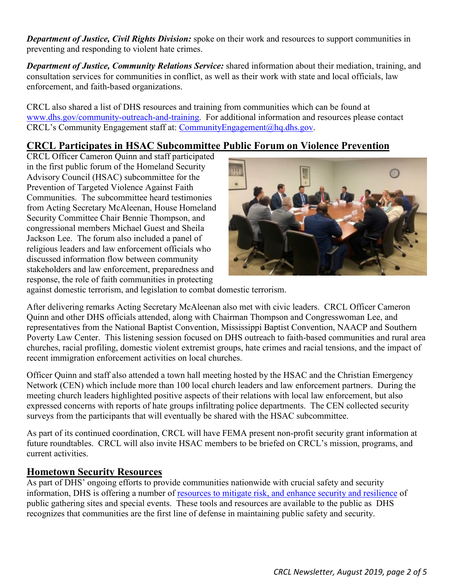*Department of Justice, Civil Rights Division:* spoke on their work and resources to support communities in preventing and responding to violent hate crimes.

*Department of Justice, Community Relations Service:* shared information about their mediation, training, and consultation services for communities in conflict, as well as their work with state and local officials, law enforcement, and faith-based organizations.

CRCL also shared a list of DHS resources and training from communities which can be found at [www.dhs.gov/community-outreach-and-training.](http://www.dhs.gov/community-outreach-and-training) For additional information and resources please contact CRCL's Community Engagement staff at: [CommunityEngagement@hq.dhs.gov.](mailto:CommunityEngagement@hq.dhs.gov)

## <span id="page-1-0"></span>**CRCL Participates in HSAC Subcommittee Public Forum on Violence Prevention**

CRCL Officer Cameron Quinn and staff participated in the first public forum of the Homeland Security Advisory Council (HSAC) subcommittee for the Prevention of Targeted Violence Against Faith Communities. The subcommittee heard testimonies from Acting Secretary McAleenan, House Homeland Security Committee Chair Bennie Thompson, and congressional members Michael Guest and Sheila Jackson Lee. The forum also included a panel of religious leaders and law enforcement officials who discussed information flow between community stakeholders and law enforcement, preparedness and response, the role of faith communities in protecting



against domestic terrorism, and legislation to combat domestic terrorism.

After delivering remarks Acting Secretary McAleenan also met with civic leaders. CRCL Officer Cameron Quinn and other DHS officials attended, along with Chairman Thompson and Congresswoman Lee, and representatives from the National Baptist Convention, Mississippi Baptist Convention, NAACP and Southern Poverty Law Center. This listening session focused on DHS outreach to faith-based communities and rural area churches, racial profiling, domestic violent extremist groups, hate crimes and racial tensions, and the impact of recent immigration enforcement activities on local churches.

Officer Quinn and staff also attended a town hall meeting hosted by the HSAC and the Christian Emergency Network (CEN) which include more than 100 local church leaders and law enforcement partners. During the meeting church leaders highlighted positive aspects of their relations with local law enforcement, but also expressed concerns with reports of hate groups infiltrating police departments. The CEN collected security surveys from the participants that will eventually be shared with the HSAC subcommittee.

As part of its continued coordination, CRCL will have FEMA present non-profit security grant information at future roundtables. CRCL will also invite HSAC members to be briefed on CRCL's mission, programs, and current activities.

#### **Hometown Security Resources**

As part of DHS' ongoing efforts to provide communities nationwide with crucial safety and security information, DHS is offering a number of [resources to mitigate risk, and enhance security and resilience](https://www.dhs.gov/cisa/hometown-security?utm_source=hp_slideshow&utm_medium=web&utm_campaign=dhsgov) of public gathering sites and special events. These tools and resources are available to the public as DHS recognizes that communities are the first line of defense in maintaining public safety and security.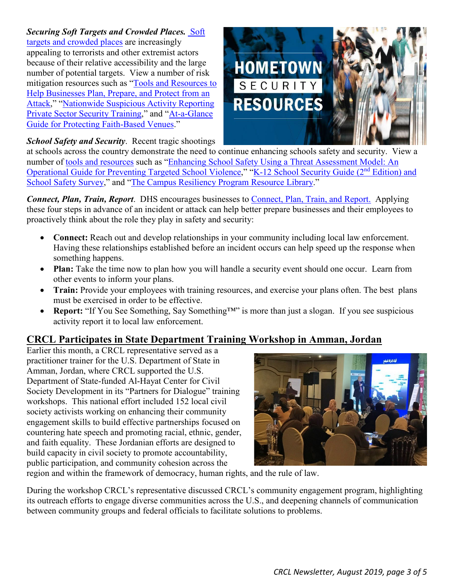<span id="page-2-0"></span>*Securing Soft Targets and Crowded Places.* [Soft](https://www.dhs.gov/securing-soft-targets-and-crowded-places)  [targets and crowded places](https://www.dhs.gov/securing-soft-targets-and-crowded-places) are increasingly appealing to terrorists and other extremist actors because of their relative accessibility and the large number of potential targets. View a number of risk mitigation resources such as ["Tools and Resources to](https://www.dhs.gov/sites/default/files/publications/hometown-security-fact-sheet%2004022019-508.pdf)  [Help Businesses Plan, Prepare, and Protect from an](https://www.dhs.gov/sites/default/files/publications/hometown-security-fact-sheet%2004022019-508.pdf)  [Attack,](https://www.dhs.gov/sites/default/files/publications/hometown-security-fact-sheet%2004022019-508.pdf)" ["Nationwide Suspicious Activity Reporting](https://www.dhs.gov/sites/default/files/publications/16_0831_NSI_Private-Sector-Security-Overview.pdf)  [Private Sector Security Training,](https://www.dhs.gov/sites/default/files/publications/16_0831_NSI_Private-Sector-Security-Overview.pdf)" and ["At-a-Glance](https://www.fema.gov/faith-resources)  [Guide for Protecting Faith-Based Venues.](https://www.fema.gov/faith-resources)"



*School Safety and Security*. Recent tragic shootings

at schools across the country demonstrate the need to continue enhancing schools safety and security. View a number of [tools and resources](https://www.dhs.gov/cisa/school-safety-and-security) such as ["Enhancing School Safety Using a Threat Assessment Model: An](https://www.dhs.gov/publication/enhancing-school-safety-using-threat-assessment-model)  [Operational Guide for Preventing Targeted School Violence,](https://www.dhs.gov/publication/enhancing-school-safety-using-threat-assessment-model)" ["K-12 School Security Guide \(2](https://www.dhs.gov/publication/k-12-school-security-guide)nd Edition) and [School Safety Survey,](https://www.dhs.gov/publication/k-12-school-security-guide)" and ["The Campus Resiliency Program Resource Library.](https://www.dhs.gov/campus-resilience-program-resource-library)"

*Connect, Plan, Train, Report*. DHS encourages businesses to [Connect, Plan, Train, and Report.](https://www.dhs.gov/cisa/hometown-security?utm_source=hp_slideshow&utm_medium=web&utm_campaign=dhsgov) Applying these four steps in advance of an incident or attack can help better prepare businesses and their employees to proactively think about the role they play in safety and security:

- **Connect:** Reach out and develop relationships in your community including local law enforcement. Having these relationships established before an incident occurs can help speed up the response when something happens.
- **Plan:** Take the time now to plan how you will handle a security event should one occur. Learn from other events to inform your plans.
- **Train:** Provide your employees with training resources, and exercise your plans often. The best plans must be exercised in order to be effective.
- **Report:** "If You See Something, Say Something™" is more than just a slogan. If you see suspicious activity report it to local law enforcement.

# <span id="page-2-1"></span>**CRCL Participates in State Department Training Workshop in Amman, Jordan**

Earlier this month, a CRCL representative served as a practitioner trainer for the U.S. Department of State in Amman, Jordan, where CRCL supported the U.S. Department of State-funded Al-Hayat Center for Civil Society Development in its "Partners for Dialogue" training workshops. This national effort included 152 local civil society activists working on enhancing their community engagement skills to build effective partnerships focused on countering hate speech and promoting racial, ethnic, gender, and faith equality. These Jordanian efforts are designed to build capacity in civil society to promote accountability, public participation, and community cohesion across the



region and within the framework of democracy, human rights, and the rule of law.

During the workshop CRCL's representative discussed CRCL's community engagement program, highlighting its outreach efforts to engage diverse communities across the U.S., and deepening channels of communication between community groups and federal officials to facilitate solutions to problems.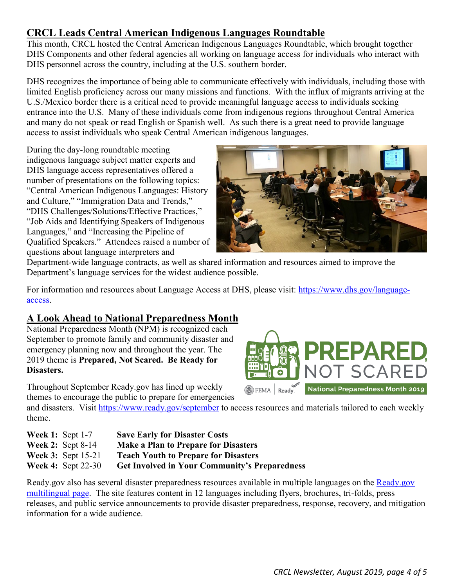# <span id="page-3-0"></span>**CRCL Leads Central American Indigenous Languages Roundtable**

This month, CRCL hosted the Central American Indigenous Languages Roundtable, which brought together DHS Components and other federal agencies all working on language access for individuals who interact with DHS personnel across the country, including at the U.S. southern border.

DHS recognizes the importance of being able to communicate effectively with individuals, including those with limited English proficiency across our many missions and functions. With the influx of migrants arriving at the U.S./Mexico border there is a critical need to provide meaningful language access to individuals seeking entrance into the U.S. Many of these individuals come from indigenous regions throughout Central America and many do not speak or read English or Spanish well. As such there is a great need to provide language access to assist individuals who speak Central American indigenous languages.

During the day-long roundtable meeting indigenous language subject matter experts and DHS language access representatives offered a number of presentations on the following topics: "Central American Indigenous Languages: History and Culture," "Immigration Data and Trends," "DHS Challenges/Solutions/Effective Practices," "Job Aids and Identifying Speakers of Indigenous Languages," and "Increasing the Pipeline of Qualified Speakers." Attendees raised a number of questions about language interpreters and



Department-wide language contracts, as well as shared information and resources aimed to improve the Department's language services for the widest audience possible.

For information and resources about Language Access at DHS, please visit: [https://www.dhs.gov/language](https://www.dhs.gov/language-access)[access.](https://www.dhs.gov/language-access)

# <span id="page-3-1"></span>**A Look Ahead to National Preparedness Month**

National Preparedness Month (NPM) is recognized each September to promote family and community disaster and emergency planning now and throughout the year. The 2019 theme is **Prepared, Not Scared. Be Ready for Disasters.** 

Throughout September Ready.gov has lined up weekly themes to encourage the public to prepare for emergencies

and disasters. Visit<https://www.ready.gov/september> to access resources and materials tailored to each weekly theme.

| <b>Week 1:</b> Sept $1-7$ | <b>Save Early for Disaster Costs</b>                 |
|---------------------------|------------------------------------------------------|
| Week 2: Sept $8-14$       | <b>Make a Plan to Prepare for Disasters</b>          |
| Week $3:$ Sept 15-21      | <b>Teach Youth to Prepare for Disasters</b>          |
| Week 4: Sept $22-30$      | <b>Get Involved in Your Community's Preparedness</b> |

Ready.gov also has several disaster preparedness resources available in multiple languages on the [Ready.gov](https://www.ready.gov/languages)  [multilingual page.](https://www.ready.gov/languages) The site features content in 12 languages including flyers, brochures, tri-folds, press releases, and public service announcements to provide disaster preparedness, response, recovery, and mitigation information for a wide audience.